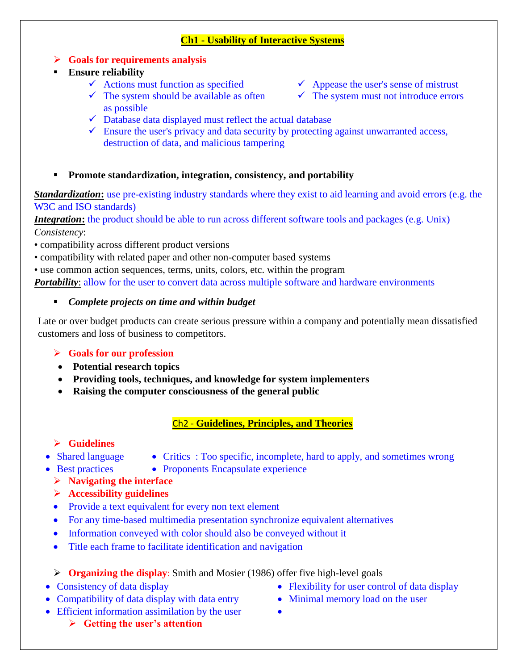#### **Ch1 - Usability of Interactive Systems**

- **Goals for requirements analysis**
- **Ensure reliability**
	-
	- $\checkmark$  The system should be available as often as possible
	- $\checkmark$  Actions must function as specified  $\checkmark$  Appease the user's sense of mistrust
		- $\checkmark$  The system must not introduce errors
	- $\checkmark$  Database data displayed must reflect the actual database
	- $\checkmark$  Ensure the user's privacy and data security by protecting against unwarranted access, destruction of data, and malicious tampering
- **Promote standardization, integration, consistency, and portability**

*Standardization*: use pre-existing industry standards where they exist to aid learning and avoid errors (e.g. the W<sub>3</sub>C and ISO standards)

*Integration*: the product should be able to run across different software tools and packages (e.g. Unix) *Consistency*:

- compatibility across different product versions
- compatibility with related paper and other non-computer based systems
- use common action sequences, terms, units, colors, etc. within the program

*Portability*: allow for the user to convert data across multiple software and hardware environments

#### *Complete projects on time and within budget*

Late or over budget products can create serious pressure within a company and potentially mean dissatisfied customers and loss of business to competitors.

## **Goals for our profession**

- **Potential research topics**
- **Providing tools, techniques, and knowledge for system implementers**
- **Raising the computer consciousness of the general public**

## Ch2 - **Guidelines, Principles, and Theories**

# **Guidelines**

- 
- Shared language Critics : Too specific, incomplete, hard to apply, and sometimes wrong
- Best practices Proponents Encapsulate experience
	- **Navigating the interface**
	- **Accessibility guidelines**
	- Provide a text equivalent for every non text element
	- For any time-based multimedia presentation synchronize equivalent alternatives
	- Information conveyed with color should also be conveyed without it
	- Title each frame to facilitate identification and navigation

**Organizing the display**: Smith and Mosier (1986) offer five high-level goals

- 
- Compatibility of data display with data entry <br>• Minimal memory load on the user
- Efficient information assimilation by the user
	- **Getting the user's attention**
- Consistency of data display **Flexibility** for user control of data display
	-
	-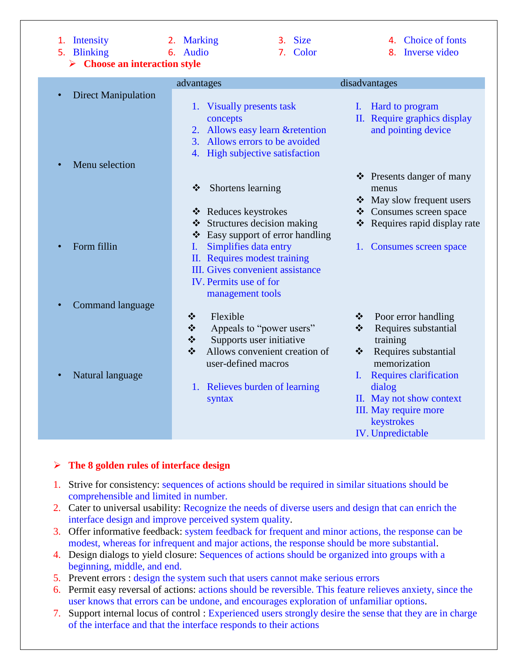**Choose an interaction style**

- 
- 
- 1. Intensity 2. Marking 3. Size 4. Choice of fonts
- 5. Blinking 6. Audio 5. Color 8. Inverse video

|                                             | advantages                                                                                                                                                                               | disadvantages                                                                                                                                                                                                                                   |
|---------------------------------------------|------------------------------------------------------------------------------------------------------------------------------------------------------------------------------------------|-------------------------------------------------------------------------------------------------------------------------------------------------------------------------------------------------------------------------------------------------|
| <b>Direct Manipulation</b>                  | 1. Visually presents task<br>concepts<br>2. Allows easy learn & retention<br>3. Allows errors to be avoided<br>4. High subjective satisfaction                                           | I. Hard to program<br>II. Require graphics display<br>and pointing device                                                                                                                                                                       |
| Menu selection                              | Shortens learning<br>❖<br>❖ Reduces keystrokes<br>❖ Structures decision making<br>❖ Easy support of error handling                                                                       | ❖ Presents danger of many<br>menus<br>May slow frequent users<br>❖ Consumes screen space<br>* Requires rapid display rate                                                                                                                       |
| Form fillin                                 | Simplifies data entry<br>$\mathbf{I}$ .<br>II. Requires modest training<br><b>III.</b> Gives convenient assistance<br>IV. Permits use of for<br>management tools                         | 1. Consumes screen space                                                                                                                                                                                                                        |
| <b>Command language</b><br>Natural language | Flexible<br>❖<br>❖<br>Appeals to "power users"<br>❖<br>Supports user initiative<br>Allows convenient creation of<br>❖<br>user-defined macros<br>1. Relieves burden of learning<br>syntax | $\bullet$ Poor error handling<br>Requires substantial<br>$\frac{1}{2}$<br>training<br>Requires substantial<br>$\mathbf{r}$<br>memorization<br><b>Requires clarification</b><br>L<br>dialog<br>II. May not show context<br>III. May require more |
|                                             |                                                                                                                                                                                          | keystrokes<br><b>IV.</b> Unpredictable                                                                                                                                                                                                          |

#### **The 8 golden rules of interface design**

- 1. Strive for consistency: sequences of actions should be required in similar situations should be comprehensible and limited in number.
- 2. Cater to universal usability: Recognize the needs of diverse users and design that can enrich the interface design and improve perceived system quality.
- 3. Offer informative feedback: system feedback for frequent and minor actions, the response can be modest, whereas for infrequent and major actions, the response should be more substantial.
- 4. Design dialogs to yield closure: Sequences of actions should be organized into groups with a beginning, middle, and end.
- 5. Prevent errors : design the system such that users cannot make serious errors
- 6. Permit easy reversal of actions: actions should be reversible. This feature relieves anxiety, since the user knows that errors can be undone, and encourages exploration of unfamiliar options.
- 7. Support internal locus of control : Experienced users strongly desire the sense that they are in charge of the interface and that the interface responds to their actions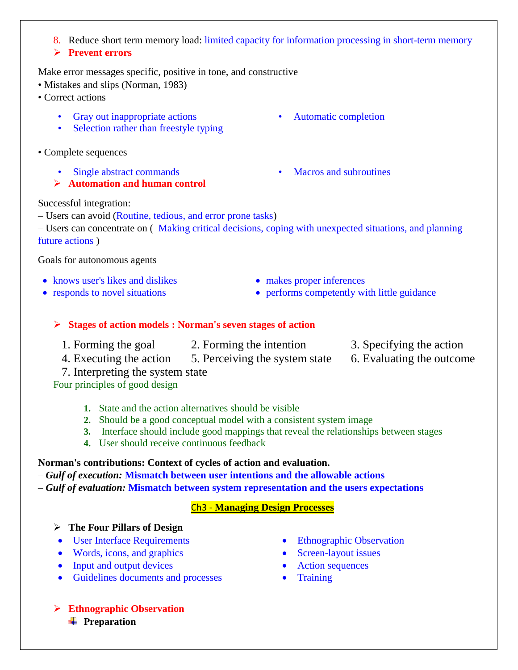- 8. Reduce short term memory load: limited capacity for information processing in short-term memory
- **Prevent errors**

Make error messages specific, positive in tone, and constructive

- Mistakes and slips (Norman, 1983)
- Correct actions
	- Gray out inappropriate actions Automatic completion
	- Selection rather than freestyle typing
- Complete sequences
	- Single abstract commands Macros and subroutines
	- **Automation and human control**

#### Successful integration:

- Users can avoid (Routine, tedious, and error prone tasks)
- Users can concentrate on ( Making critical decisions, coping with unexpected situations, and planning future actions )

#### Goals for autonomous agents

- knows user's likes and dislikes **makes proper inferences**
- 
- 
- responds to novel situations performs competently with little guidance

#### **Stages of action models : Norman's seven stages of action**

- 
- 1. Forming the goal 2. Forming the intention 3. Specifying the action
- 
- 4. Executing the action 5. Perceiving the system state 6. Evaluating the outcome
- 7. Interpreting the system state

Four principles of good design

## **1.** State and the action alternatives should be visible

- **2.** Should be a good conceptual model with a consistent system image
- **3.** Interface should include good mappings that reveal the relationships between stages
- **4.** User should receive continuous feedback

## **Norman's contributions: Context of cycles of action and evaluation.**

– *Gulf of execution:* **Mismatch between user intentions and the allowable actions**

– *Gulf of evaluation:* **Mismatch between system representation and the users expectations**

## Ch3 - **Managing Design Processes**

## **The Four Pillars of Design**

- User Interface Requirements Ethnographic Observation
- Words, icons, and graphics Screen-layout issues
- Input and output devices Action sequences
- Guidelines documents and processes Training
- 
- 
- 
- 

 **Ethnographic Observation <sup>↓</sup>** Preparation

- 
- 
- 
- 
-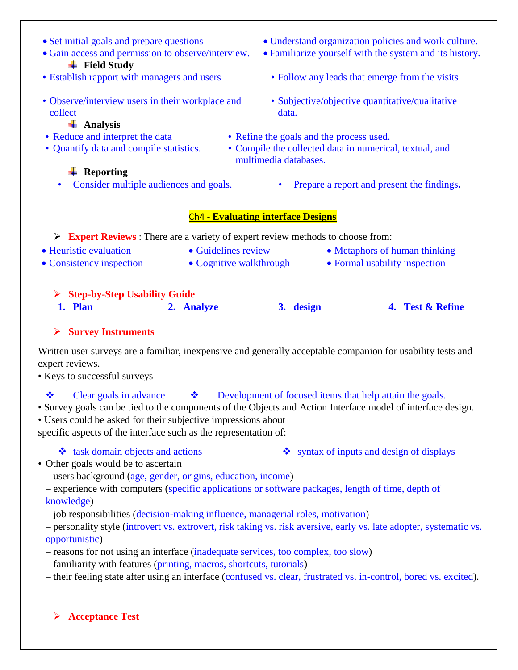- **Field Study**
- 
- Observe/interview users in their workplace and collect

#### **Analysis**

- 
- 

## **<sup>↓</sup>** Reporting

- Set initial goals and prepare questions Understand organization policies and work culture.
- Gain access and permission to observe/interview. Familiarize yourself with the system and its history.
- Establish rapport with managers and users Follow any leads that emerge from the visits
	- Subjective/objective quantitative/qualitative data.
- Reduce and interpret the data Refine the goals and the process used.
- Quantify data and compile statistics. Compile the collected data in numerical, textual, and multimedia databases.
	- Consider multiple audiences and goals. Prepare a report and present the findings**.**

#### Ch4 - **Evaluating interface Designs**

**Expert Reviews** : There are a variety of expert review methods to choose from:

- 
- 
- Heuristic evaluation Guidelines review Metaphors of human thinking
- Consistency inspection Cognitive walkthrough Formal usability inspection

## **Step-by-Step Usability Guide**

**1. Plan 2. Analyze 3. design 4. Test & Refine**

## **Survey Instruments**

Written user surveys are a familiar, inexpensive and generally acceptable companion for usability tests and expert reviews.

• Keys to successful surveys

# $\bullet$  Clear goals in advance  $\bullet$  Development of focused items that help attain the goals.

- Survey goals can be tied to the components of the Objects and Action Interface model of interface design.
- Users could be asked for their subjective impressions about

specific aspects of the interface such as the representation of:

- $\bullet$  task domain objects and actions  $\bullet$  syntax of inputs and design of displays
- Other goals would be to ascertain
	- users background (age, gender, origins, education, income)
	- experience with computers (specific applications or software packages, length of time, depth of knowledge)
	- job responsibilities (decision-making influence, managerial roles, motivation)
	- personality style (introvert vs. extrovert, risk taking vs. risk aversive, early vs. late adopter, systematic vs. opportunistic)
	- reasons for not using an interface (inadequate services, too complex, too slow)
	- familiarity with features (printing, macros, shortcuts, tutorials)
	- their feeling state after using an interface (confused vs. clear, frustrated vs. in-control, bored vs. excited).

**Acceptance Test**